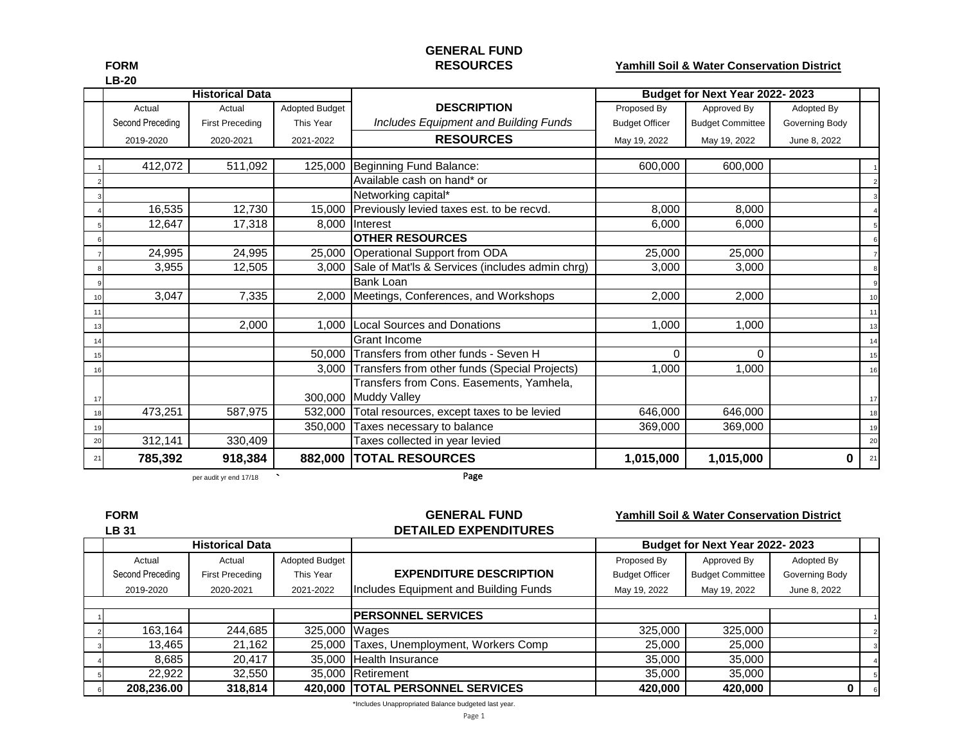# **GENERAL FUND**

#### **FORM RESOURCES Yamhill Soil & Water Conservation District**

|    |                  | <b>Historical Data</b> |                |                                                       |                       | Budget for Next Year 2022-2023 |                |    |
|----|------------------|------------------------|----------------|-------------------------------------------------------|-----------------------|--------------------------------|----------------|----|
|    | Actual           | Actual                 | Adopted Budget | <b>DESCRIPTION</b>                                    | Proposed By           | Approved By                    | Adopted By     |    |
|    | Second Preceding | <b>First Preceding</b> | This Year      | Includes Equipment and Building Funds                 | <b>Budget Officer</b> | <b>Budget Committee</b>        | Governing Body |    |
|    | 2019-2020        | 2020-2021              | 2021-2022      | <b>RESOURCES</b>                                      | May 19, 2022          | May 19, 2022                   | June 8, 2022   |    |
|    |                  |                        |                |                                                       |                       |                                |                |    |
|    | 412,072          | 511,092                |                | 125,000 Beginning Fund Balance:                       | 600,000               | 600,000                        |                |    |
|    |                  |                        |                | Available cash on hand* or                            |                       |                                |                |    |
|    |                  |                        |                | Networking capital*                                   |                       |                                |                |    |
|    | 16,535           | 12,730                 |                | 15,000 Previously levied taxes est. to be recvd.      | 8,000                 | 8,000                          |                |    |
|    | 12,647           | 17,318                 |                | 8,000 Interest                                        | 6,000                 | 6,000                          |                |    |
|    |                  |                        |                | <b>OTHER RESOURCES</b>                                |                       |                                |                |    |
|    | 24,995           | 24,995                 | 25,000         | Operational Support from ODA                          | 25,000                | 25,000                         |                |    |
|    | 3,955            | 12,505                 |                | 3,000 Sale of Mat'ls & Services (includes admin chrg) | 3,000                 | 3,000                          |                |    |
|    |                  |                        |                | <b>Bank Loan</b>                                      |                       |                                |                |    |
|    | 3,047            | 7,335                  |                | 2,000 Meetings, Conferences, and Workshops            | 2,000                 | 2,000                          |                | 10 |
| 11 |                  |                        |                |                                                       |                       |                                |                | 11 |
| 13 |                  | 2,000                  |                | 1,000 Local Sources and Donations                     | 1,000                 | 1,000                          |                | 13 |
|    |                  |                        |                | <b>Grant Income</b>                                   |                       |                                |                | 14 |
|    |                  |                        |                | 50,000 Transfers from other funds - Seven H           | 0                     | $\Omega$                       |                | 15 |
|    |                  |                        |                | 3,000 Transfers from other funds (Special Projects)   | 1,000                 | 1,000                          |                | 16 |
|    |                  |                        |                | Transfers from Cons. Easements, Yamhela,              |                       |                                |                |    |
| 17 |                  |                        |                | 300,000 Muddy Valley                                  |                       |                                |                | 17 |
| 18 | 473,251          | 587,975                |                | 532,000 Total resources, except taxes to be levied    | 646,000               | 646,000                        |                | 18 |
| 19 |                  |                        |                | 350,000 Taxes necessary to balance                    | 369,000               | 369,000                        |                | 19 |
| 20 | 312,141          | 330,409                |                | Taxes collected in year levied                        |                       |                                |                | 20 |
| 21 | 785,392          | 918,384                |                | 882,000 TOTAL RESOURCES                               | 1,015,000             | 1,015,000                      | 0              | 21 |

per audit yr end 17/18 **`**

Page

| <b>FORM</b>      |                        |                | <b>GENERAL FUND</b>                      |                       | <b>Yamhill Soil &amp; Water Conservation District</b> |                |  |
|------------------|------------------------|----------------|------------------------------------------|-----------------------|-------------------------------------------------------|----------------|--|
| <b>LB 31</b>     |                        |                | <b>DETAILED EXPENDITURES</b>             |                       |                                                       |                |  |
|                  | <b>Historical Data</b> |                |                                          |                       | Budget for Next Year 2022-2023                        |                |  |
| Actual           | Actual                 | Adopted Budget |                                          | Proposed By           | Approved By                                           | Adopted By     |  |
| Second Preceding | <b>First Preceding</b> | This Year      | <b>EXPENDITURE DESCRIPTION</b>           | <b>Budget Officer</b> | <b>Budget Committee</b>                               | Governing Body |  |
| 2019-2020        | 2020-2021              | 2021-2022      | Includes Equipment and Building Funds    | May 19, 2022          | May 19, 2022                                          | June 8, 2022   |  |
|                  |                        |                |                                          |                       |                                                       |                |  |
|                  |                        |                | <b>IPERSONNEL SERVICES</b>               |                       |                                                       |                |  |
| 163,164          | 244,685                | 325,000 Wages  |                                          | 325,000               | 325,000                                               |                |  |
| 13,465           | 21.162                 |                | 25,000 Taxes, Unemployment, Workers Comp | 25,000                | 25,000                                                |                |  |
| 8.685            | 20,417                 |                | 35,000 Health Insurance                  | 35,000                | 35,000                                                |                |  |
| 22,922           | 32,550                 |                | 35,000 Retirement                        | 35,000                | 35,000                                                |                |  |
| 208,236.00       | 318,814                |                | 420,000 TOTAL PERSONNEL SERVICES         | 420,000               | 420,000                                               | 0              |  |

\*Includes Unappropriated Balance budgeted last year.

**LB-20**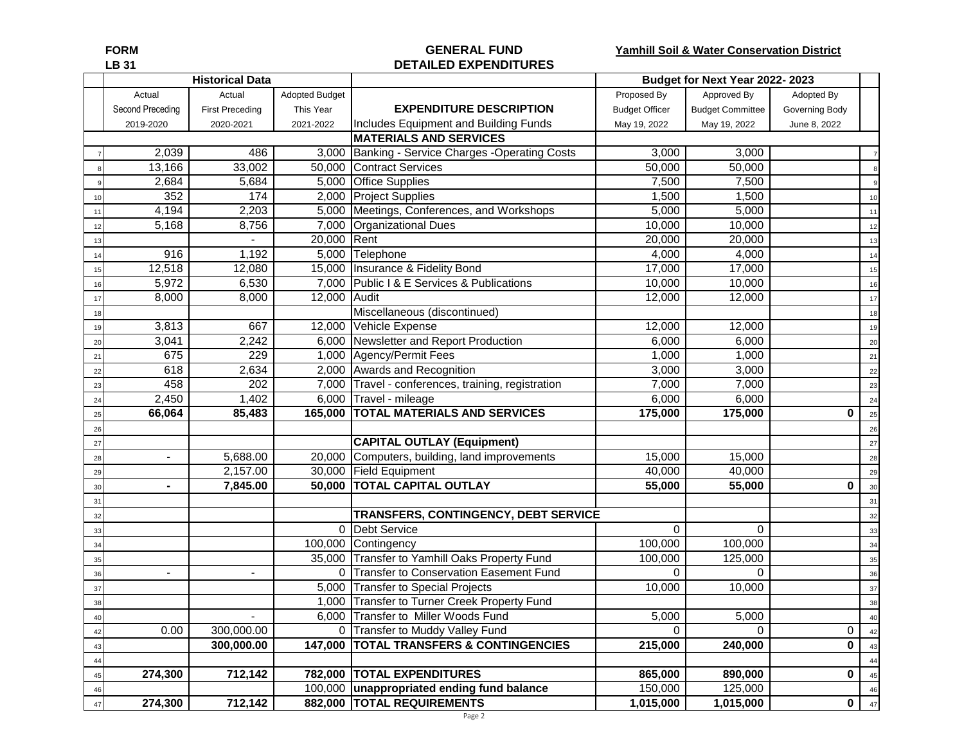#### **FORM GENERAL FUND Yamhill Soil & Water Conservation District LB 31 DETAILED EXPENDITURES**

|    |                    | <b>Historical Data</b> |                       |                                                    |                       | Budget for Next Year 2022-2023 |                |    |
|----|--------------------|------------------------|-----------------------|----------------------------------------------------|-----------------------|--------------------------------|----------------|----|
|    | Actual             | Actual                 | <b>Adopted Budget</b> |                                                    | Proposed By           | Approved By                    | Adopted By     |    |
|    | Second Preceding   | <b>First Preceding</b> | This Year             | <b>EXPENDITURE DESCRIPTION</b>                     | <b>Budget Officer</b> | <b>Budget Committee</b>        | Governing Body |    |
|    | 2019-2020          | 2020-2021              | 2021-2022             | Includes Equipment and Building Funds              | May 19, 2022          | May 19, 2022                   | June 8, 2022   |    |
|    |                    |                        |                       | <b>MATERIALS AND SERVICES</b>                      |                       |                                |                |    |
|    | $\overline{2,039}$ | 486                    | 3,000                 | Banking - Service Charges - Operating Costs        | 3,000                 | 3,000                          |                |    |
|    | 13,166             | 33,002                 |                       | 50,000 Contract Services                           | 50,000                | 50,000                         |                |    |
|    | 2,684              | 5,684                  |                       | 5,000 Office Supplies                              | 7,500                 | 7,500                          |                |    |
| 10 | 352                | 174                    |                       | 2,000 Project Supplies                             | 1,500                 | 1,500                          |                | 10 |
| 11 | 4,194              | 2,203                  |                       | 5,000 Meetings, Conferences, and Workshops         | 5,000                 | 5,000                          |                | 11 |
| 12 | 5,168              | 8,756                  |                       | 7,000 Organizational Dues                          | 10,000                | 10,000                         |                | 12 |
| 13 |                    |                        | 20,000 Rent           |                                                    | 20,000                | 20,000                         |                | 13 |
| 14 | 916                | 1,192                  |                       | 5,000 Telephone                                    | 4,000                 | 4,000                          |                | 14 |
| 15 | 12,518             | 12,080                 |                       | 15,000 Insurance & Fidelity Bond                   | 17,000                | 17,000                         |                | 15 |
| 16 | 5,972              | 6,530                  |                       | 7,000 Public I & E Services & Publications         | 10,000                | 10,000                         |                | 16 |
| 17 | 8,000              | 8,000                  | 12,000 Audit          |                                                    | 12,000                | 12,000                         |                | 17 |
| 18 |                    |                        |                       | Miscellaneous (discontinued)                       |                       |                                |                | 18 |
| 19 | 3,813              | 667                    |                       | 12,000 Vehicle Expense                             | 12,000                | 12,000                         |                | 19 |
| 20 | 3,041              | 2,242                  |                       | 6,000 Newsletter and Report Production             | 6,000                 | 6,000                          |                | 20 |
| 21 | 675                | 229                    |                       | 1,000 Agency/Permit Fees                           | 1,000                 | 1,000                          |                | 21 |
| 22 | 618                | 2,634                  |                       | 2,000 Awards and Recognition                       | 3,000                 | 3,000                          |                | 22 |
| 23 | 458                | 202                    |                       | 7,000 Travel - conferences, training, registration | 7,000                 | 7,000                          |                | 23 |
| 24 | 2,450              | 1,402                  |                       | 6,000 Travel - mileage                             | 6,000                 | 6,000                          |                | 24 |
| 25 | 66,064             | 85,483                 |                       | 165,000 TOTAL MATERIALS AND SERVICES               | 175,000               | 175,000                        | 0              | 25 |
| 26 |                    |                        |                       |                                                    |                       |                                |                | 26 |
| 27 |                    |                        |                       | <b>CAPITAL OUTLAY (Equipment)</b>                  |                       |                                |                | 27 |
| 28 |                    | 5,688.00               |                       | 20,000 Computers, building, land improvements      | 15,000                | 15,000                         |                | 28 |
| 29 |                    | 2,157.00               |                       | 30,000 Field Equipment                             | 40,000                | 40,000                         |                | 29 |
| 30 |                    | 7,845.00               |                       | 50,000 TOTAL CAPITAL OUTLAY                        | 55,000                | 55,000                         | 0              | 30 |
| 31 |                    |                        |                       |                                                    |                       |                                |                | 31 |
| 32 |                    |                        |                       | TRANSFERS, CONTINGENCY, DEBT SERVICE               |                       |                                |                | 32 |
| 33 |                    |                        |                       | 0 Debt Service                                     | $\mathbf 0$           | $\mathbf 0$                    |                | 33 |
| 34 |                    |                        |                       | 100,000 Contingency                                | 100,000               | 100,000                        |                | 34 |
| 35 |                    |                        |                       | 35,000 Transfer to Yamhill Oaks Property Fund      | 100,000               | 125,000                        |                | 35 |
| 36 |                    |                        |                       | 0 Transfer to Conservation Easement Fund           | $\Omega$              | 0                              |                | 36 |
| 37 |                    |                        |                       | 5,000 Transfer to Special Projects                 | 10,000                | 10,000                         |                | 37 |
| 38 |                    |                        |                       | 1,000 Transfer to Turner Creek Property Fund       |                       |                                |                | 38 |
| 40 |                    |                        |                       | 6,000 Transfer to Miller Woods Fund                | 5,000                 | 5,000                          |                |    |
| 42 | 0.00               | 300,000.00             |                       | 0 Transfer to Muddy Valley Fund                    | $\Omega$              | $\Omega$                       | 0              | 42 |
| 43 |                    | 300,000.00             |                       | 147,000 TOTAL TRANSFERS & CONTINGENCIES            | 215,000               | 240,000                        | 0              | 43 |
| 44 |                    |                        |                       |                                                    |                       |                                |                | 44 |
| 45 | 274,300            | 712,142                |                       | 782,000 TOTAL EXPENDITURES                         | 865,000               | 890,000                        | $\mathbf 0$    | 45 |
| 46 |                    |                        |                       | 100,000 unappropriated ending fund balance         | 150,000               | 125,000                        |                | 46 |
| 47 | 274,300            | 712,142                |                       | 882,000 TOTAL REQUIREMENTS                         | 1,015,000             | 1,015,000                      | $\mathbf 0$    | 47 |
|    |                    |                        |                       | Page 2                                             |                       |                                |                |    |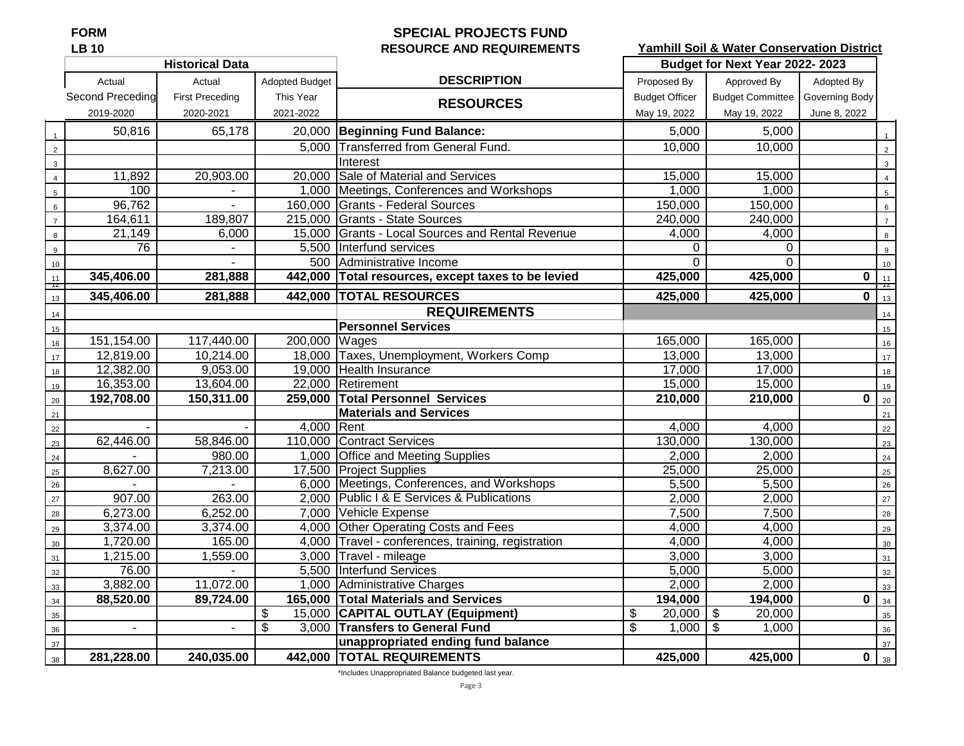## **FORM SPECIAL PROJECTS FUND LB 10 RESOURCE AND REQUIREMENTS**

**Yamhill Soil & Water Conservation District**

|                 |                  | <b>Historical Data</b> |                       |                                                    |                       | Budget for Next Year 2022-2023 |                         |                  |
|-----------------|------------------|------------------------|-----------------------|----------------------------------------------------|-----------------------|--------------------------------|-------------------------|------------------|
|                 | Actual           | Actual                 | <b>Adopted Budget</b> | <b>DESCRIPTION</b>                                 | Proposed By           | Approved By                    | Adopted By              |                  |
|                 | Second Preceding | <b>First Preceding</b> | This Year             | <b>RESOURCES</b>                                   | <b>Budget Officer</b> | Budget Committee               | Governing Body          |                  |
|                 | 2019-2020        | 2020-2021              | 2021-2022             |                                                    | May 19, 2022          | May 19, 2022                   | June 8, 2022            |                  |
|                 | 50,816           | 65,178                 |                       | 20,000 Beginning Fund Balance:                     | 5,000                 | 5,000                          |                         |                  |
| $\overline{2}$  |                  |                        |                       | 5,000 Transferred from General Fund.               | 10,000                | 10,000                         |                         | $\overline{2}$   |
| $\mathbf{3}$    |                  |                        |                       | Interest                                           |                       |                                |                         | $\mathbf{3}$     |
| $\overline{4}$  | 11,892           | 20,903.00              |                       | 20,000 Sale of Material and Services               | 15,000                | 15,000                         |                         |                  |
| $5\phantom{.0}$ | 100              |                        |                       | 1,000 Meetings, Conferences and Workshops          | 1,000                 | 1,000                          |                         | $\overline{5}$   |
| $6\phantom{a}$  | 96,762           |                        |                       | 160,000 Grants - Federal Sources                   | 150,000               | 150,000                        |                         | $6\phantom{a}$   |
| $\overline{7}$  | 164,611          | 189,807                |                       | 215,000 Grants - State Sources                     | 240,000               | 240,000                        |                         | $\overline{7}$   |
| 8               | 21,149           | 6,000                  |                       | 15,000 Grants - Local Sources and Rental Revenue   | 4,000                 | 4,000                          |                         | 8                |
| 9               | 76               | $\mathbf{r}$           |                       | 5,500 Interfund services                           | $\Omega$              | $\Omega$                       |                         | $\overline{9}$   |
| 10              |                  |                        |                       | 500 Administrative Income                          | $\Omega$              | $\Omega$                       |                         | 10 <sup>10</sup> |
| 11<br>R         | 345,406.00       | 281,888                |                       | 442,000 Total resources, except taxes to be levied | 425,000               | 425,000                        | $\bf{0}$                | $\frac{11}{12}$  |
| 13              | 345,406.00       | 281,888                |                       | 442,000 TOTAL RESOURCES                            | 425,000               | 425,000                        | $\overline{\mathbf{0}}$ | 13               |
| 14              |                  |                        |                       | <b>REQUIREMENTS</b>                                |                       |                                |                         | $14$             |
| 15              |                  |                        |                       | <b>Personnel Services</b>                          |                       |                                |                         | 15               |
| 16              | 151,154.00       | 117,440.00             | 200,000 Wages         |                                                    | 165,000               | 165,000                        |                         | 16               |
| 17              | 12,819.00        | 10,214.00              |                       | 18,000 Taxes, Unemployment, Workers Comp           | 13,000                | 13,000                         |                         | 17               |
| 18              | 12,382.00        | 9,053.00               |                       | 19,000 Health Insurance                            | 17,000                | 17,000                         |                         | 18               |
| 19              | 16,353.00        | 13,604.00              |                       | 22,000 Retirement                                  | 15,000                | 15,000                         |                         | 19               |
| $20\,$          | 192,708.00       | 150,311.00             |                       | 259,000 Total Personnel Services                   | 210,000               | 210,000                        | $\bf{0}$                | 20               |
| 21              |                  |                        |                       | <b>Materials and Services</b>                      |                       |                                |                         | 21               |
| 22              |                  |                        | 4,000 Rent            |                                                    | 4,000                 | 4,000                          |                         | 22               |
| 23              | 62,446.00        | 58,846.00              |                       | 110,000 Contract Services                          | 130,000               | 130,000                        |                         | 23               |
| 24              |                  | 980.00                 |                       | 1,000 Office and Meeting Supplies                  | 2,000                 | 2,000                          |                         | 24               |
| 25              | 8,627.00         | 7,213.00               |                       | 17,500 Project Supplies                            | 25,000                | 25,000                         |                         | 25               |
| 26              |                  |                        |                       | 6,000 Meetings, Conferences, and Workshops         | 5,500                 | 5,500                          |                         | 26               |
| 27              | 907.00           | 263.00                 |                       | 2.000 Public I & E Services & Publications         | 2,000                 | 2,000                          |                         | 27               |
| 28              | 6,273.00         | 6,252.00               |                       | 7,000 Vehicle Expense                              | 7,500                 | 7,500                          |                         | 28               |
| 29              | 3,374.00         | 3,374.00               |                       | 4,000 Other Operating Costs and Fees               | 4,000                 | 4,000                          |                         | 29               |
| 30              | 1,720.00         | 165.00                 |                       | 4,000 Travel - conferences, training, registration | 4,000                 | 4,000                          |                         | 30               |
| 31              | 1,215.00         | 1,559.00               |                       | 3,000 Travel - mileage                             | 3,000                 | 3,000                          |                         | 31               |
| 32              | 76.00            |                        |                       | 5,500 Interfund Services                           | 5,000                 | 5,000                          |                         | 32               |
| 33              | 3,882.00         | 11,072.00              |                       | 1,000 Administrative Charges                       | 2,000                 | 2,000                          |                         | 33               |
| 34              | 88,520.00        | 89,724.00              |                       | 165,000 Total Materials and Services               | 194,000               | 194,000                        | $\bf{0}$                | 34               |
| 35              |                  |                        | \$                    | 15,000 CAPITAL OUTLAY (Equipment)                  | \$<br>20,000          | 20,000<br><b>S</b>             |                         | 35               |
| 36              | $\blacksquare$   | $\sim$                 | \$                    | 3,000 Transfers to General Fund                    | 1,000<br>\$           | -\$<br>1,000                   |                         | 36               |
| 37              |                  |                        |                       | unappropriated ending fund balance                 |                       |                                |                         | 37               |
| 38              | 281,228.00       | 240,035.00             |                       | 442,000 TOTAL REQUIREMENTS                         | 425,000               | 425,000                        | $\bf{0}$                | 38               |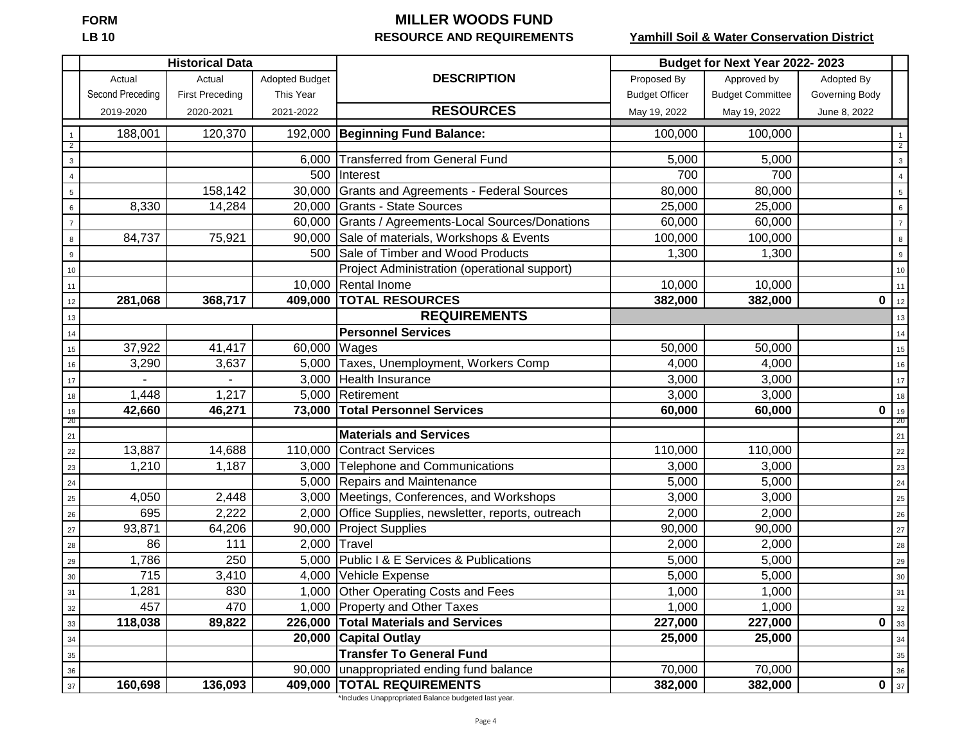# **FORM MILLER WOODS FUND**<br>LB 10 **MILLER WOODS FUND RESOURCE AND REQUIREMENTS**

## **Yamhill Soil & Water Conservation District**

|                  |                  | <b>Historical Data</b> |                       |                                                | Budget for Next Year 2022-2023 |                         |                |                 |
|------------------|------------------|------------------------|-----------------------|------------------------------------------------|--------------------------------|-------------------------|----------------|-----------------|
|                  | Actual           | Actual                 | <b>Adopted Budget</b> | <b>DESCRIPTION</b>                             | Proposed By                    | Approved by             | Adopted By     |                 |
|                  | Second Preceding | <b>First Preceding</b> | This Year             |                                                | <b>Budget Officer</b>          | <b>Budget Committee</b> | Governing Body |                 |
|                  | 2019-2020        | 2020-2021              | 2021-2022             | <b>RESOURCES</b>                               | May 19, 2022                   | May 19, 2022            | June 8, 2022   |                 |
| $\mathbf{1}$     | 188,001          | 120,370                |                       | 192,000 Beginning Fund Balance:                | 100,000                        | 100,000                 |                |                 |
| $\overline{2}$   |                  |                        |                       |                                                |                                |                         |                | $\overline{2}$  |
| $\mathbf{3}$     |                  |                        | 6,000                 | <b>Transferred from General Fund</b>           | 5,000                          | 5,000                   |                | $\mathbf{3}$    |
| $\overline{4}$   |                  |                        | 500                   | Interest                                       | 700                            | 700                     |                | $\overline{4}$  |
| $\overline{5}$   |                  | 158,142                | 30,000                | <b>Grants and Agreements - Federal Sources</b> | 80,000                         | 80,000                  |                | $\sqrt{5}$      |
| $\,6\,$          | 8,330            | 14,284                 |                       | 20,000 Grants - State Sources                  | 25,000                         | 25,000                  |                | $\,6\,$         |
| $\overline{7}$   |                  |                        | 60,000                | Grants / Agreements-Local Sources/Donations    | 60,000                         | 60,000                  |                | $\bar{7}$       |
| 8                | 84,737           | 75,921                 | 90,000                | Sale of materials, Workshops & Events          | 100,000                        | 100,000                 |                | $\bf8$          |
| $\boldsymbol{9}$ |                  |                        | 500                   | Sale of Timber and Wood Products               | 1,300                          | 1,300                   |                | $\overline{9}$  |
| 10               |                  |                        |                       | Project Administration (operational support)   |                                |                         |                | 10              |
| 11               |                  |                        | 10,000                | <b>Rental Inome</b>                            | 10,000                         | 10,000                  |                | 11              |
| 12               | 281,068          | 368,717                | 409,000               | <b>TOTAL RESOURCES</b>                         | 382,000                        | 382,000                 | $\mathbf 0$    | 12              |
| 13               |                  |                        |                       | <b>REQUIREMENTS</b>                            |                                |                         |                | 13              |
| $14$             |                  |                        |                       | <b>Personnel Services</b>                      |                                |                         |                | 14              |
| $15\,$           | 37,922           | 41,417                 | 60,000                | Wages                                          | 50,000                         | 50,000                  |                | 15              |
| $16\,$           | 3,290            | 3,637                  | 5,000                 | Taxes, Unemployment, Workers Comp              | 4,000                          | 4,000                   |                | 16              |
| 17               |                  |                        |                       | 3,000 Health Insurance                         | 3,000                          | 3,000                   |                | 17              |
| 18               | 1,448            | 1,217                  | 5,000                 | Retirement                                     | 3,000                          | 3,000                   |                | 18              |
| 19<br>-20        | 42,660           | 46,271                 | 73,000                | <b>Total Personnel Services</b>                | 60,000                         | 60,000                  | 0              | 19<br>-20       |
| $21$             |                  |                        |                       | <b>Materials and Services</b>                  |                                |                         |                | 21              |
| 22               | 13,887           | 14,688                 | 110,000               | <b>Contract Services</b>                       | 110,000                        | 110,000                 |                | 22              |
| 23               | 1,210            | 1,187                  | 3,000                 | <b>Telephone and Communications</b>            | 3,000                          | 3,000                   |                | 23              |
| 24               |                  |                        | 5,000                 | Repairs and Maintenance                        | 5,000                          | 5,000                   |                | 24              |
| 25               | 4,050            | 2,448                  | 3,000                 | Meetings, Conferences, and Workshops           | 3,000                          | 3,000                   |                | 25              |
| 26               | 695              | 2,222                  | 2,000                 | Office Supplies, newsletter, reports, outreach | 2,000                          | 2,000                   |                | 26              |
| $27\,$           | 93,871           | 64,206                 | 90,000                | <b>Project Supplies</b>                        | 90,000                         | 90,000                  |                | $27$            |
| 28               | 86               | 111                    | 2,000                 | Travel                                         | 2,000                          | 2,000                   |                | 28              |
| 29               | 1,786            | 250                    |                       | 5,000 Public I & E Services & Publications     | 5,000                          | 5,000                   |                | 29              |
| $30\,$           | 715              | 3,410                  |                       | 4,000 Vehicle Expense                          | 5,000                          | 5,000                   |                | $30\,$          |
| 31               | 1,281            | 830                    |                       | 1,000 Other Operating Costs and Fees           | 1,000                          | 1,000                   |                | 31              |
| $32\,$           | 457              | 470                    |                       | 1,000 Property and Other Taxes                 | 1,000                          | 1,000                   |                | $32$            |
| 33               | 118,038          | 89,822                 | 226,000               | <b>Total Materials and Services</b>            | 227,000                        | 227,000                 | 0              | 33              |
| 34               |                  |                        |                       | 20,000 Capital Outlay                          | 25,000                         | 25,000                  |                | 34              |
| $35\,$           |                  |                        |                       | <b>Transfer To General Fund</b>                |                                |                         |                | $35\,$          |
| 36               |                  |                        | 90,000                | unappropriated ending fund balance             | 70,000                         | 70,000                  |                | 36              |
| 37               | 160,698          | 136,093                |                       | 409,000 TOTAL REQUIREMENTS                     | 382,000                        | 382,000                 |                | 0 <sub>37</sub> |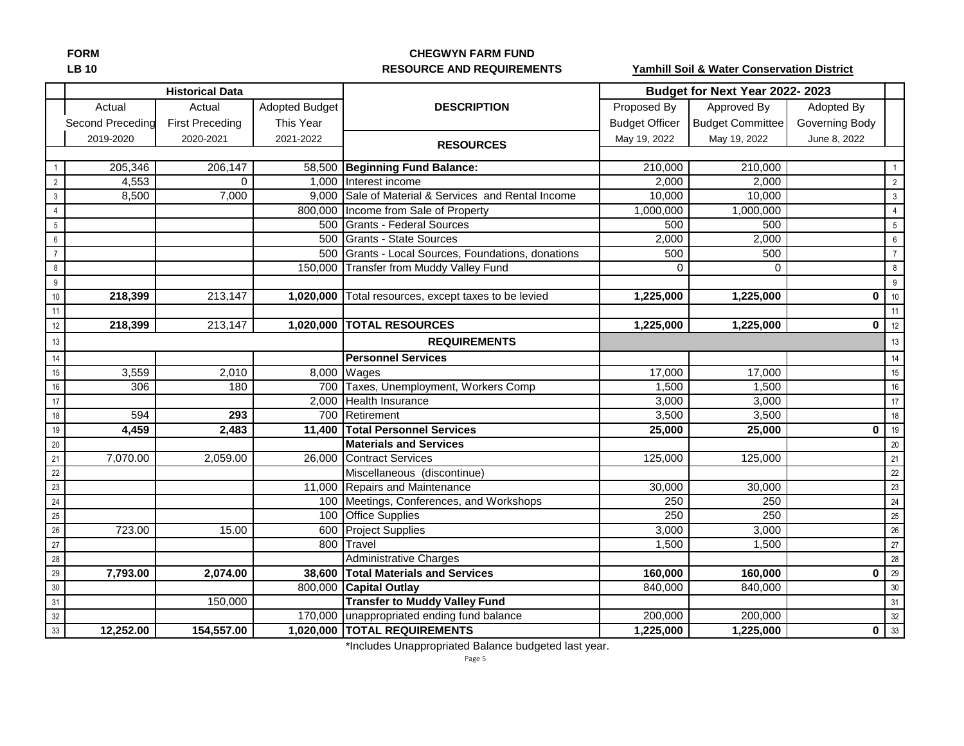#### **FORM CHEGWYN FARM FUND LB 10 RESOURCE AND REQUIREMENTS**

**Yamhill Soil & Water Conservation District**

|                |                  | <b>Historical Data</b> |                       |                                                      |                       | Budget for Next Year 2022-2023 |                |                   |
|----------------|------------------|------------------------|-----------------------|------------------------------------------------------|-----------------------|--------------------------------|----------------|-------------------|
|                | Actual           | Actual                 | <b>Adopted Budget</b> | <b>DESCRIPTION</b>                                   | Proposed By           | Approved By                    | Adopted By     |                   |
|                | Second Preceding | <b>First Preceding</b> | This Year             |                                                      | <b>Budget Officer</b> | <b>Budget Committee</b>        | Governing Body |                   |
|                | 2019-2020        | 2020-2021              | 2021-2022             |                                                      | May 19, 2022          | May 19, 2022                   | June 8, 2022   |                   |
|                |                  |                        |                       | <b>RESOURCES</b>                                     |                       |                                |                |                   |
|                | 205,346          | 206,147                |                       | 58,500 Beginning Fund Balance:                       | 210,000               | 210,000                        |                |                   |
| $\overline{2}$ | 4,553            | $\Omega$               |                       | 1,000 Interest income                                | 2,000                 | 2,000                          |                | $\overline{2}$    |
| $\mathbf{3}$   | 8,500            | 7,000                  |                       | 9,000 Sale of Material & Services and Rental Income  | 10,000                | 10,000                         |                | $\mathbf{3}$      |
| $\overline{4}$ |                  |                        |                       | 800,000 Income from Sale of Property                 | 1,000,000             | 1,000,000                      |                | $\overline{4}$    |
| $5\,$          |                  |                        |                       | 500 Grants - Federal Sources                         | 500                   | 500                            |                | $\overline{5}$    |
| 6              |                  |                        |                       | 500 Grants - State Sources                           | 2,000                 | 2,000                          |                | $6\overline{6}$   |
| $\overline{7}$ |                  |                        |                       | 500 Grants - Local Sources, Foundations, donations   | 500                   | 500                            |                | $7\overline{ }$   |
| 8              |                  |                        |                       | 150,000 Transfer from Muddy Valley Fund              | $\Omega$              | $\Omega$                       |                | $8\phantom{.0}$   |
| 9              |                  |                        |                       |                                                      |                       |                                |                | 9                 |
| $10$           | 218,399          | 213,147                |                       | 1,020,000 Total resources, except taxes to be levied | 1,225,000             | 1,225,000                      | $\mathbf 0$    | 10                |
| 11             |                  |                        |                       |                                                      |                       |                                |                | 11                |
| 12             | 218,399          | 213,147                |                       | 1,020,000 TOTAL RESOURCES                            | 1,225,000             | 1,225,000                      | $\mathbf 0$    | 12                |
| 13             |                  |                        |                       | <b>REQUIREMENTS</b>                                  |                       |                                |                | 13                |
| 14             |                  |                        |                       | <b>Personnel Services</b>                            |                       |                                |                | 14                |
| $15\,$         | 3,559            | 2,010                  |                       | 8,000 Wages                                          | 17,000                | 17,000                         |                | 15                |
| 16             | 306              | 180                    |                       | 700 Taxes, Unemployment, Workers Comp                | 1,500                 | 1,500                          |                | 16                |
| 17             |                  |                        |                       | 2,000 Health Insurance                               | 3,000                 | 3,000                          |                | 17                |
| 18             | 594              | 293                    |                       | 700 Retirement                                       | 3,500                 | 3,500                          |                | 18                |
| 19             | 4,459            | 2,483                  |                       | 11,400 Total Personnel Services                      | 25,000                | 25,000                         | $\mathbf 0$    | 19                |
| $20\,$         |                  |                        |                       | <b>Materials and Services</b>                        |                       |                                |                | 20                |
| 21             | 7,070.00         | 2,059.00               |                       | 26,000 Contract Services                             | 125,000               | 125,000                        |                | 21                |
| 22             |                  |                        |                       | Miscellaneous (discontinue)                          |                       |                                |                | 22                |
| 23             |                  |                        |                       | 11,000 Repairs and Maintenance                       | 30,000                | 30,000                         |                | 23                |
| 24             |                  |                        |                       | 100 Meetings, Conferences, and Workshops             | 250                   | 250                            |                | $24\,$            |
| $25\,$         |                  |                        |                       | 100 Office Supplies                                  | 250                   | 250                            |                | 25                |
| $26\,$         | 723.00           | 15.00                  |                       | 600 Project Supplies                                 | 3,000                 | 3,000                          |                | 26                |
| 27             |                  |                        | 800                   | Travel                                               | 1,500                 | 1,500                          |                | $27\,$            |
| 28             |                  |                        |                       | <b>Administrative Charges</b>                        |                       |                                |                | $28$              |
| 29             | 7,793.00         | 2,074.00               | 38,600                | <b>Total Materials and Services</b>                  | 160,000               | 160,000                        | $\mathbf 0$    | 29                |
| 30             |                  |                        |                       | 800,000 Capital Outlay                               | 840,000               | 840,000                        |                | $30\,$            |
| 31             |                  | 150,000                |                       | <b>Transfer to Muddy Valley Fund</b>                 |                       |                                |                | 31                |
| 32             |                  |                        |                       | 170,000 unappropriated ending fund balance           | 200,000               | 200,000                        |                | 32                |
| 33             | 12,252.00        | 154,557.00             |                       | 1,020,000 TOTAL REQUIREMENTS                         | 1,225,000             | 1,225,000                      |                | $0 \overline{33}$ |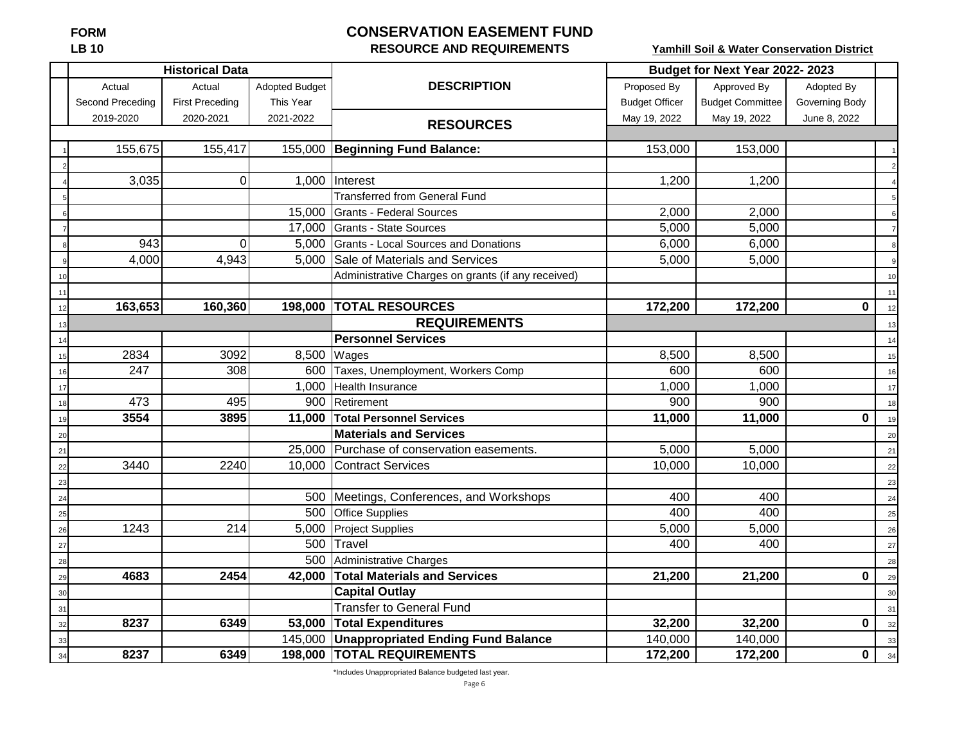# **FORM CONSERVATION EASEMENT FUND**

# **LB 10 RESOURCE AND REQUIREMENTS**

**Yamhill Soil & Water Conservation District**

|    |                  | <b>Historical Data</b> |                       |                                                    | Budget for Next Year 2022-2023 |                         |                |    |
|----|------------------|------------------------|-----------------------|----------------------------------------------------|--------------------------------|-------------------------|----------------|----|
|    | Actual           | Actual                 | <b>Adopted Budget</b> | <b>DESCRIPTION</b>                                 | Proposed By                    | Approved By             | Adopted By     |    |
|    | Second Preceding | <b>First Preceding</b> | This Year             |                                                    | <b>Budget Officer</b>          | <b>Budget Committee</b> | Governing Body |    |
|    | 2019-2020        | 2020-2021              | 2021-2022             | <b>RESOURCES</b>                                   | May 19, 2022                   | May 19, 2022            | June 8, 2022   |    |
|    |                  |                        |                       |                                                    |                                |                         |                |    |
|    | 155,675          | 155,417                |                       | 155,000 Beginning Fund Balance:                    | 153,000                        | 153,000                 |                |    |
|    |                  |                        |                       |                                                    |                                |                         |                |    |
|    | 3,035            | $\mathbf 0$            | 1,000                 | Interest                                           | 1,200                          | 1,200                   |                |    |
|    |                  |                        |                       | <b>Transferred from General Fund</b>               |                                |                         |                |    |
|    |                  |                        | 15,000                | Grants - Federal Sources                           | 2,000                          | 2,000                   |                |    |
|    |                  |                        |                       | 17,000 Grants - State Sources                      | 5,000                          | 5,000                   |                |    |
|    | 943              | $\Omega$               |                       | 5,000 Grants - Local Sources and Donations         | 6,000                          | 6,000                   |                |    |
|    | 4,000            | 4,943                  |                       | 5,000 Sale of Materials and Services               | 5,000                          | 5,000                   |                |    |
|    |                  |                        |                       | Administrative Charges on grants (if any received) |                                |                         |                | 10 |
| 11 |                  |                        |                       |                                                    |                                |                         |                | 11 |
| 12 | 163,653          | 160,360                |                       | 198,000  TOTAL RESOURCES                           | 172,200                        | 172,200                 | 0              |    |
| 13 |                  |                        |                       | <b>REQUIREMENTS</b>                                |                                |                         |                |    |
|    |                  |                        |                       | <b>Personnel Services</b>                          |                                |                         |                |    |
| 15 | 2834             | 3092                   |                       | 8,500 Wages                                        | 8,500                          | 8,500                   |                | 15 |
| 16 | 247              | 308                    | 600                   | Taxes, Unemployment, Workers Comp                  | 600                            | 600                     |                | 16 |
| 17 |                  |                        | 1,000                 | <b>Health Insurance</b>                            | 1,000                          | 1,000                   |                | 17 |
| 18 | 473              | 495                    | 900                   | Retirement                                         | 900                            | 900                     |                | 18 |
| 19 | 3554             | 3895                   | 11,000                | <b>Total Personnel Services</b>                    | 11,000                         | 11,000                  | $\mathbf 0$    | 19 |
| 20 |                  |                        |                       | <b>Materials and Services</b>                      |                                |                         |                | 20 |
| 21 |                  |                        | 25,000                | Purchase of conservation easements.                | 5,000                          | 5,000                   |                | 21 |
| 22 | 3440             | 2240                   |                       | 10,000 Contract Services                           | 10,000                         | 10,000                  |                | 22 |
| 23 |                  |                        |                       |                                                    |                                |                         |                | 23 |
| 24 |                  |                        | 500                   | Meetings, Conferences, and Workshops               | 400                            | 400                     |                | 24 |
| 25 |                  |                        | 500                   | <b>Office Supplies</b>                             | 400                            | 400                     |                | 25 |
| 26 | 1243             | 214                    | 5,000                 | <b>Project Supplies</b>                            | 5,000                          | 5,000                   |                | 26 |
| 27 |                  |                        | 500                   | Travel                                             | 400                            | 400                     |                | 27 |
| 28 |                  |                        | 500                   | Administrative Charges                             |                                |                         |                | 28 |
| 29 | 4683             | 2454                   | 42,000                | <b>Total Materials and Services</b>                | 21,200                         | 21,200                  | $\mathbf 0$    | 29 |
| 30 |                  |                        |                       | <b>Capital Outlay</b>                              |                                |                         |                | 30 |
| 31 |                  |                        |                       | <b>Transfer to General Fund</b>                    |                                |                         |                | 31 |
| 32 | 8237             | 6349                   |                       | 53,000 Total Expenditures                          | 32,200                         | 32,200                  | 0              | 32 |
| 33 |                  |                        |                       | 145,000 Unappropriated Ending Fund Balance         | 140,000                        | 140,000                 |                | 33 |
| 34 | 8237             | 6349                   |                       | 198,000 TOTAL REQUIREMENTS                         | 172,200                        | 172,200                 | $\mathbf 0$    | 34 |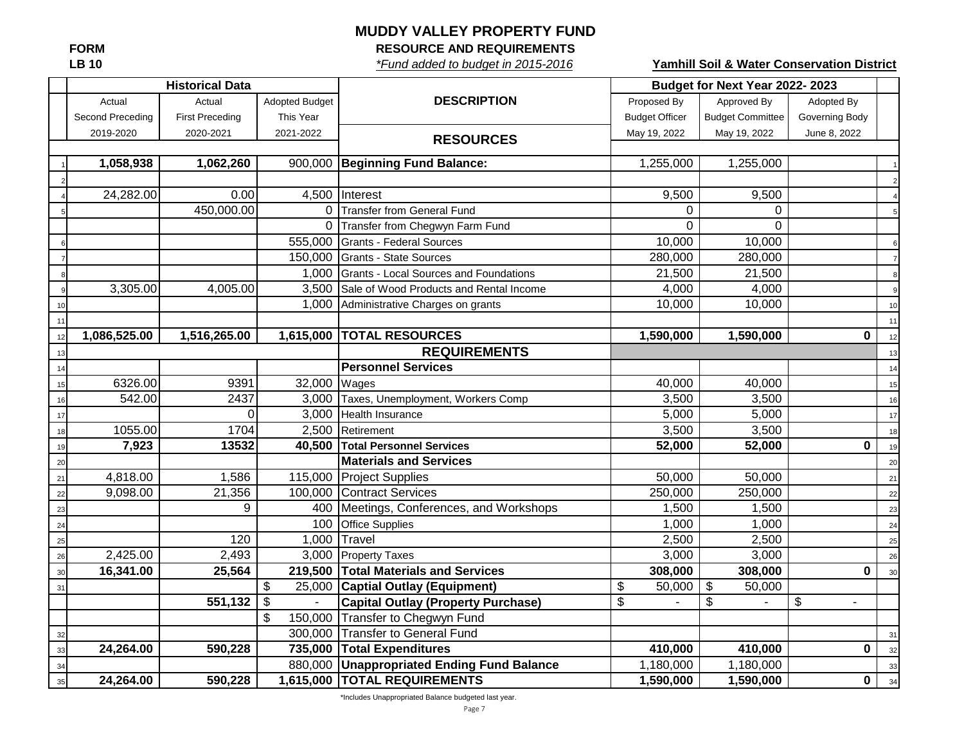# **MUDDY VALLEY PROPERTY FUND**

**FORM RESOURCE AND REQUIREMENTS**

**LB 10** *\*Fund added to budget in 2015-2016*

**Yamhill Soil & Water Conservation District**

|      |                  | <b>Historical Data</b> |                       | Budget for Next Year 2022-2023             |                       |                                     |                |    |
|------|------------------|------------------------|-----------------------|--------------------------------------------|-----------------------|-------------------------------------|----------------|----|
|      | Actual           | Actual                 | <b>Adopted Budget</b> | <b>DESCRIPTION</b>                         | Proposed By           | Approved By                         | Adopted By     |    |
|      | Second Preceding | <b>First Preceding</b> | This Year             |                                            | <b>Budget Officer</b> | <b>Budget Committee</b>             | Governing Body |    |
|      | 2019-2020        | 2020-2021              | 2021-2022             | <b>RESOURCES</b>                           | May 19, 2022          | May 19, 2022                        | June 8, 2022   |    |
|      |                  |                        |                       |                                            |                       |                                     |                |    |
|      | 1,058,938        | 1,062,260              | 900,000               | <b>Beginning Fund Balance:</b>             | 1,255,000             | 1,255,000                           |                |    |
|      |                  |                        |                       |                                            |                       |                                     |                |    |
|      | 24,282.00        | 0.00                   | 4,500                 | Interest                                   | 9,500                 | 9,500                               |                |    |
|      |                  | 450,000.00             |                       | 0 Transfer from General Fund               | 0                     | $\Omega$                            |                |    |
|      |                  |                        | $\Omega$              | Transfer from Chegwyn Farm Fund            | $\Omega$              | $\Omega$                            |                |    |
|      |                  |                        | 555,000               | <b>Grants - Federal Sources</b>            | 10,000                | 10,000                              |                |    |
|      |                  |                        | 150,000               | Grants - State Sources                     | 280,000               | 280,000                             |                |    |
|      |                  |                        | 1,000                 | Grants - Local Sources and Foundations     | 21,500                | 21,500                              |                |    |
|      | 3,305.00         | 4,005.00               | 3,500                 | Sale of Wood Products and Rental Income    | 4,000                 | 4,000                               |                |    |
| 10   |                  |                        | 1,000                 | Administrative Charges on grants           | 10,000                | 10,000                              |                | 10 |
| 11   |                  |                        |                       |                                            |                       |                                     |                | 11 |
| 12   | 1,086,525.00     | 1,516,265.00           | 1,615,000             | <b>TOTAL RESOURCES</b>                     | 1,590,000             | 1,590,000                           | $\mathbf 0$    | 12 |
| 13   |                  |                        |                       | <b>REQUIREMENTS</b>                        |                       |                                     |                | 13 |
| 14   |                  |                        |                       | <b>Personnel Services</b>                  |                       |                                     |                | 14 |
| 15   | 6326.00          | 9391                   | 32,000                | Wages                                      | 40,000                | 40,000                              |                | 15 |
| 16   | 542.00           | 2437                   |                       | 3,000 Taxes, Unemployment, Workers Comp    | 3,500                 | 3,500                               |                | 16 |
| 17   |                  | $\Omega$               | 3,000                 | Health Insurance                           | 5,000                 | 5,000                               |                | 17 |
| 18   | 1055.00          | 1704                   |                       | 2,500 Retirement                           | 3,500                 | 3,500                               |                | 18 |
| 19   | 7,923            | 13532                  | 40,500                | <b>Total Personnel Services</b>            | 52,000                | 52,000                              | 0              | 19 |
| 20   |                  |                        |                       | <b>Materials and Services</b>              |                       |                                     |                | 20 |
| $21$ | 4,818.00         | 1,586                  | 115,000               | <b>Project Supplies</b>                    | 50,000                | 50,000                              |                | 21 |
| 22   | 9,098.00         | 21,356                 |                       | 100,000 Contract Services                  | 250,000               | 250,000                             |                | 22 |
| 23   |                  | 9                      |                       | 400 Meetings, Conferences, and Workshops   | 1,500                 | 1,500                               |                | 23 |
| 24   |                  |                        | 100                   | <b>Office Supplies</b>                     | 1,000                 | 1,000                               |                | 24 |
| 25   |                  | 120                    | 1,000                 | Travel                                     | 2,500                 | 2,500                               |                | 25 |
| 26   | 2,425.00         | 2,493                  | 3,000                 | <b>Property Taxes</b>                      | 3,000                 | 3,000                               |                | 26 |
| 30   | 16,341.00        | 25,564                 |                       | 219,500 Total Materials and Services       | 308,000               | 308,000                             | 0              | 30 |
| 31   |                  |                        | \$<br>25,000          | <b>Captial Outlay (Equipment)</b>          | \$<br>50,000          | $\boldsymbol{\mathsf{S}}$<br>50,000 |                |    |
|      |                  | 551,132                | \$                    | <b>Capital Outlay (Property Purchase)</b>  | \$                    | \$                                  | \$             |    |
|      |                  |                        |                       | 150,000 Transfer to Chegwyn Fund           |                       |                                     |                |    |
| 32   |                  |                        |                       | 300,000 Transfer to General Fund           |                       |                                     |                | 31 |
| 33   | 24,264.00        | 590,228                |                       | 735,000 Total Expenditures                 | 410,000               | 410,000                             | 0              | 32 |
| 34   |                  |                        |                       | 880,000 Unappropriated Ending Fund Balance | 1,180,000             | 1,180,000                           |                | 33 |
| 35   | 24,264.00        | 590,228                |                       | 1,615,000 TOTAL REQUIREMENTS               | 1,590,000             | 1,590,000                           | $\mathbf 0$    | 34 |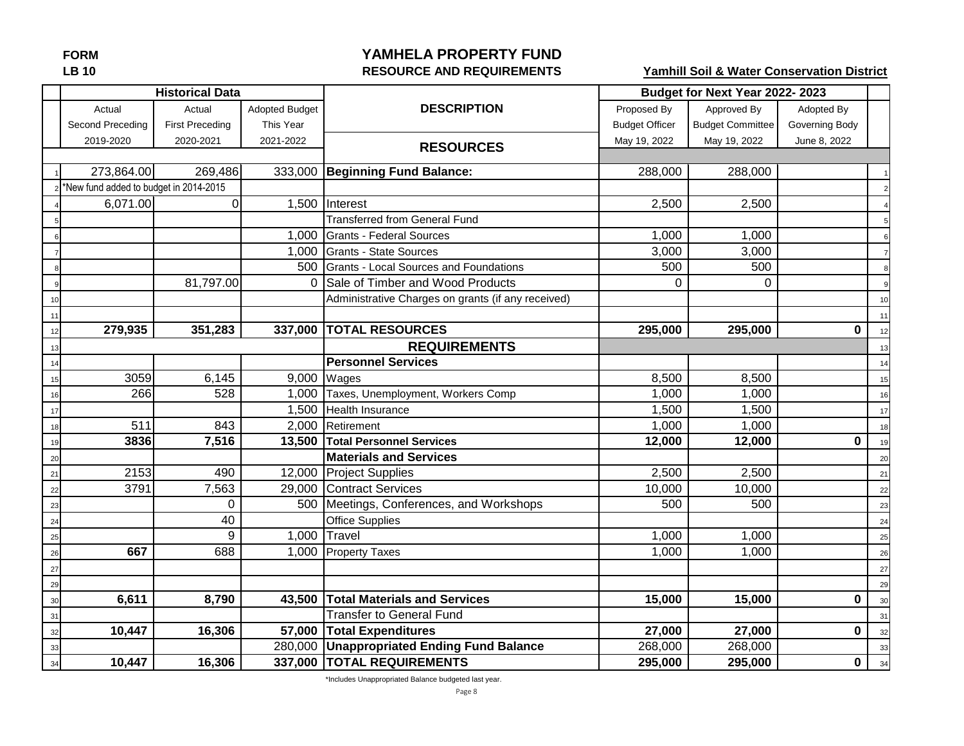# **FORM YAMHELA PROPERTY FUND LB 10 RESOURCE AND REQUIREMENTS**

**Yamhill Soil & Water Conservation District**

|    |                                        | <b>Historical Data</b> |                       |                                                    |                       | Budget for Next Year 2022-2023 |                |    |
|----|----------------------------------------|------------------------|-----------------------|----------------------------------------------------|-----------------------|--------------------------------|----------------|----|
|    | Actual                                 | Actual                 | <b>Adopted Budget</b> | <b>DESCRIPTION</b>                                 | Proposed By           | Approved By                    | Adopted By     |    |
|    | Second Preceding                       | <b>First Preceding</b> | This Year             |                                                    | <b>Budget Officer</b> | <b>Budget Committee</b>        | Governing Body |    |
|    | 2019-2020                              | 2020-2021              | 2021-2022             | <b>RESOURCES</b>                                   | May 19, 2022          | May 19, 2022                   | June 8, 2022   |    |
|    |                                        |                        |                       |                                                    |                       |                                |                |    |
|    | 273,864.00                             | 269,486                |                       | 333,000 Beginning Fund Balance:                    | 288,000               | 288,000                        |                |    |
|    | *New fund added to budget in 2014-2015 |                        |                       |                                                    |                       |                                |                |    |
|    | 6,071.00                               | 0                      |                       | 1,500 Interest                                     | 2,500                 | 2,500                          |                |    |
|    |                                        |                        |                       | <b>Transferred from General Fund</b>               |                       |                                |                |    |
|    |                                        |                        |                       | 1,000 Grants - Federal Sources                     | 1,000                 | 1,000                          |                |    |
|    |                                        |                        |                       | 1,000 Grants - State Sources                       | 3,000                 | 3,000                          |                |    |
|    |                                        |                        |                       | 500 Grants - Local Sources and Foundations         | 500                   | 500                            |                | Я  |
|    |                                        | 81,797.00              | 0                     | Sale of Timber and Wood Products                   | O                     | 0                              |                |    |
|    |                                        |                        |                       | Administrative Charges on grants (if any received) |                       |                                |                | 10 |
|    |                                        |                        |                       |                                                    |                       |                                |                | 11 |
|    | 279,935                                | 351,283                |                       | 337,000 TOTAL RESOURCES                            | 295,000               | 295,000                        | $\bf{0}$       | 12 |
|    |                                        |                        |                       | <b>REQUIREMENTS</b>                                |                       |                                |                | 13 |
|    |                                        |                        |                       | <b>Personnel Services</b>                          |                       |                                |                | 14 |
| 15 | 3059                                   | 6,145                  |                       | 9,000 Wages                                        | 8,500                 | 8,500                          |                | 15 |
| 16 | 266                                    | 528                    |                       | 1,000 Taxes, Unemployment, Workers Comp            | 1,000                 | 1,000                          |                | 16 |
| 17 |                                        |                        |                       | 1,500 Health Insurance                             | 1,500                 | 1,500                          |                | 17 |
| 18 | 511                                    | 843                    |                       | 2,000 Retirement                                   | 1,000                 | 1,000                          |                | 18 |
| 19 | 3836                                   | 7,516                  |                       | 13,500 Total Personnel Services                    | 12,000                | 12,000                         | $\bf{0}$       | 19 |
| 20 |                                        |                        |                       | <b>Materials and Services</b>                      |                       |                                |                | 20 |
| 21 | 2153                                   | 490                    |                       | 12,000 Project Supplies                            | 2,500                 | 2,500                          |                | 21 |
| 22 | 3791                                   | 7,563                  | 29,000                | <b>Contract Services</b>                           | 10,000                | 10,000                         |                | 22 |
| 23 |                                        | $\Omega$               | 500                   | Meetings, Conferences, and Workshops               | 500                   | 500                            |                | 23 |
| 24 |                                        | 40                     |                       | <b>Office Supplies</b>                             |                       |                                |                | 24 |
| 25 |                                        | 9                      |                       | 1,000 Travel                                       | 1,000                 | 1,000                          |                | 25 |
| 26 | 667                                    | 688                    |                       | 1,000 Property Taxes                               | 1,000                 | 1,000                          |                | 26 |
| 27 |                                        |                        |                       |                                                    |                       |                                |                | 27 |
| 29 |                                        |                        |                       |                                                    |                       |                                |                | 29 |
| 30 | 6,611                                  | 8,790                  | 43,500                | <b>Total Materials and Services</b>                | 15,000                | 15,000                         | $\mathbf 0$    | 30 |
| 31 |                                        |                        |                       | <b>Transfer to General Fund</b>                    |                       |                                |                | 31 |
| 32 | 10,447                                 | 16,306                 |                       | 57,000 Total Expenditures                          | 27,000                | 27,000                         | $\mathbf 0$    | 32 |
| 33 |                                        |                        |                       | 280,000 Unappropriated Ending Fund Balance         | 268,000               | 268,000                        |                | 33 |
| 34 | 10,447                                 | 16,306                 |                       | 337,000 TOTAL REQUIREMENTS                         | 295,000               | 295,000                        | $\mathbf 0$    | 34 |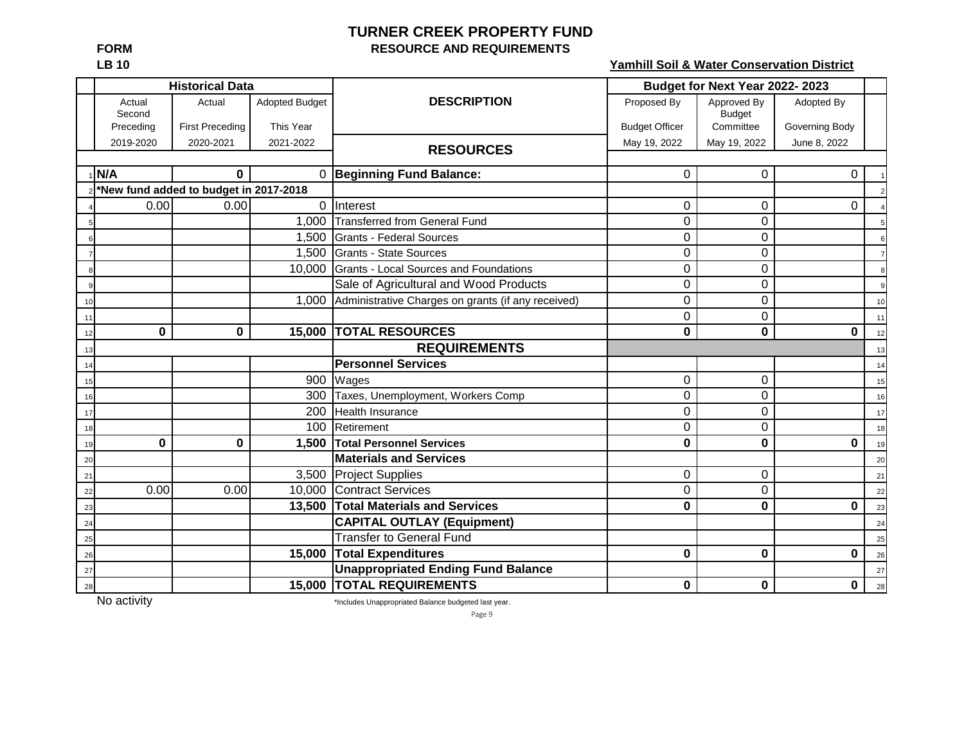# **TURNER CREEK PROPERTY FUND FORM RESOURCE AND REQUIREMENTS**

**LB 10 Yamhill Soil & Water Conservation District**

|    |                  | <b>Historical Data</b>                 |                       |                                                    |                       | Budget for Next Year 2022-2023 |                |                |
|----|------------------|----------------------------------------|-----------------------|----------------------------------------------------|-----------------------|--------------------------------|----------------|----------------|
|    | Actual<br>Second | Actual                                 | <b>Adopted Budget</b> | <b>DESCRIPTION</b>                                 | Proposed By           | Approved By<br><b>Budget</b>   | Adopted By     |                |
|    | Preceding        | <b>First Preceding</b>                 | This Year             |                                                    | <b>Budget Officer</b> | Committee                      | Governing Body |                |
|    | 2019-2020        | 2020-2021                              | 2021-2022             | <b>RESOURCES</b>                                   | May 19, 2022          | May 19, 2022                   | June 8, 2022   |                |
|    |                  |                                        |                       |                                                    |                       |                                |                |                |
|    | N/A              | $\mathbf 0$                            |                       | 0 Beginning Fund Balance:                          | $\Omega$              | $\Omega$                       | $\Omega$       |                |
|    |                  | *New fund added to budget in 2017-2018 |                       |                                                    |                       |                                |                |                |
|    | 0.00             | 0.00                                   | $\Omega$              | Interest                                           | $\boldsymbol{0}$      | 0                              | 0              |                |
|    |                  |                                        | 1,000                 | Transferred from General Fund                      | 0                     | 0                              |                |                |
|    |                  |                                        | 1,500                 | Grants - Federal Sources                           | 0                     | $\Omega$                       |                |                |
|    |                  |                                        | 1,500                 | Grants - State Sources                             | 0                     | 0                              |                |                |
|    |                  |                                        | 10,000                | Grants - Local Sources and Foundations             | 0                     | 0                              |                |                |
|    |                  |                                        |                       | Sale of Agricultural and Wood Products             | 0                     | 0                              |                | 9 <sub>l</sub> |
| 10 |                  |                                        | 1,000                 | Administrative Charges on grants (if any received) | $\mathbf 0$           | $\mathbf 0$                    |                | 10             |
| 11 |                  |                                        |                       |                                                    | 0                     | $\mathbf 0$                    |                | 11             |
| 12 | 0                | 0                                      |                       | <b>15,000 TOTAL RESOURCES</b>                      | 0                     | $\mathbf 0$                    | 0              | 12             |
| 13 |                  |                                        |                       | <b>REQUIREMENTS</b>                                |                       |                                |                | 13             |
| 14 |                  |                                        |                       | <b>Personnel Services</b>                          |                       |                                |                | 14             |
| 15 |                  |                                        | 900                   | Wages                                              | $\mathbf 0$           | 0                              |                | 15             |
| 16 |                  |                                        | 300                   | Taxes, Unemployment, Workers Comp                  | 0                     | $\mathbf 0$                    |                | 16             |
| 17 |                  |                                        | 200                   | <b>Health Insurance</b>                            | 0                     | 0                              |                | 17             |
| 18 |                  |                                        | 100                   | Retirement                                         | $\mathbf 0$           | $\mathbf 0$                    |                | 18             |
| 19 | 0                | 0                                      | 1,500                 | <b>Total Personnel Services</b>                    | 0                     | $\bf{0}$                       | 0              | 19             |
| 20 |                  |                                        |                       | <b>Materials and Services</b>                      |                       |                                |                | 20             |
| 21 |                  |                                        |                       | 3,500 Project Supplies                             | $\mathbf 0$           | $\Omega$                       |                | 21             |
| 22 | 0.00             | 0.00                                   |                       | 10,000 Contract Services                           | $\mathbf 0$           | 0                              |                | 22             |
| 23 |                  |                                        |                       | 13,500 Total Materials and Services                | 0                     | $\bf{0}$                       | 0              | 23             |
| 24 |                  |                                        |                       | <b>CAPITAL OUTLAY (Equipment)</b>                  |                       |                                |                | 24             |
| 25 |                  |                                        |                       | <b>Transfer to General Fund</b>                    |                       |                                |                | 25             |
| 26 |                  |                                        | 15,000                | <b>Total Expenditures</b>                          | $\mathbf 0$           | $\bf{0}$                       | 0              | 26             |
| 27 |                  |                                        |                       | <b>Unappropriated Ending Fund Balance</b>          |                       |                                |                | 27             |
| 28 |                  |                                        |                       | <b>15,000 TOTAL REQUIREMENTS</b>                   | 0                     | 0                              | 0              | 28             |

No activity **the Contract of Terms of Terms and Terms** \*Includes Unappropriated Balance budgeted last year.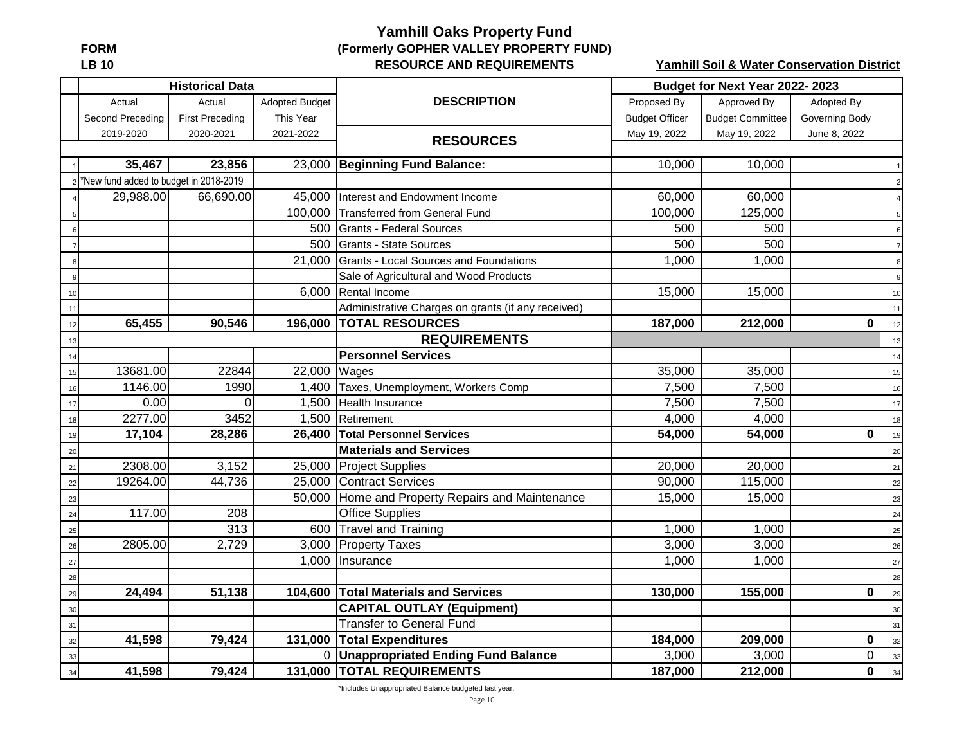# **Yamhill Oaks Property Fund FORM (Formerly GOPHER VALLEY PROPERTY FUND) LB 10 RESOURCE AND REQUIREMENTS**

**Yamhill Soil & Water Conservation District**

|      |                                        | <b>Historical Data</b> |                       |                                                    |                       | Budget for Next Year 2022-2023 |                |                  |
|------|----------------------------------------|------------------------|-----------------------|----------------------------------------------------|-----------------------|--------------------------------|----------------|------------------|
|      | Actual                                 | Actual                 | <b>Adopted Budget</b> | <b>DESCRIPTION</b>                                 | Proposed By           | Approved By                    | Adopted By     |                  |
|      | Second Preceding                       | <b>First Preceding</b> | This Year             |                                                    | <b>Budget Officer</b> | <b>Budget Committee</b>        | Governing Body |                  |
|      | 2019-2020                              | 2020-2021              | 2021-2022             | <b>RESOURCES</b>                                   | May 19, 2022          | May 19, 2022                   | June 8, 2022   |                  |
|      |                                        |                        |                       |                                                    |                       |                                |                |                  |
|      | 35,467                                 | 23,856                 |                       | 23,000 Beginning Fund Balance:                     | 10,000                | 10,000                         |                |                  |
|      | *New fund added to budget in 2018-2019 |                        |                       |                                                    |                       |                                |                | $\overline{2}$   |
|      | 29,988.00                              | 66,690.00              | 45,000                | Interest and Endowment Income                      | 60,000                | 60,000                         |                |                  |
|      |                                        |                        |                       | 100,000 Transferred from General Fund              | 100,000               | 125,000                        |                | $5\overline{)}$  |
|      |                                        |                        |                       | 500 Grants - Federal Sources                       | 500                   | 500                            |                | 6                |
|      |                                        |                        | 500                   | Grants - State Sources                             | 500                   | 500                            |                | $\overline{7}$   |
|      |                                        |                        | 21,000                | Grants - Local Sources and Foundations             | 1,000                 | 1,000                          |                | $\boldsymbol{8}$ |
|      |                                        |                        |                       | Sale of Agricultural and Wood Products             |                       |                                |                | 9                |
| 10   |                                        |                        | 6,000                 | Rental Income                                      | 15,000                | 15,000                         |                | 10               |
| 11   |                                        |                        |                       | Administrative Charges on grants (if any received) |                       |                                |                | 11               |
| 12   | 65,455                                 | 90,546                 | 196,000               | <b>TOTAL RESOURCES</b>                             | 187,000               | 212,000                        | $\bf{0}$       | 12               |
| 13   |                                        |                        |                       | <b>REQUIREMENTS</b>                                |                       |                                |                | 13               |
| 14   |                                        |                        |                       | <b>Personnel Services</b>                          |                       |                                |                | 14               |
| 15   | 13681.00                               | 22844                  | 22,000                | Wages                                              | 35,000                | 35,000                         |                | 15               |
| 16   | 1146.00                                | 1990                   | 1,400                 | Taxes, Unemployment, Workers Comp                  | 7,500                 | 7,500                          |                | 16               |
| 17   | 0.00                                   | $\Omega$               | 1,500                 | Health Insurance                                   | 7,500                 | 7,500                          |                | 17               |
| 18   | 2277.00                                | 3452                   | 1,500                 | Retirement                                         | 4,000                 | 4,000                          |                | 18               |
| 19   | 17,104                                 | 28,286                 | 26,400                | <b>Total Personnel Services</b>                    | 54,000                | 54,000                         | $\bf{0}$       | 19               |
| 20   |                                        |                        |                       | <b>Materials and Services</b>                      |                       |                                |                | 20               |
| $21$ | 2308.00                                | 3,152                  |                       | 25,000 Project Supplies                            | 20,000                | 20,000                         |                | 21               |
| 22   | 19264.00                               | 44,736                 |                       | 25,000 Contract Services                           | 90,000                | 115,000                        |                | 22               |
| 23   |                                        |                        | 50,000                | Home and Property Repairs and Maintenance          | 15,000                | 15,000                         |                | 23               |
| 24   | 117.00                                 | 208                    |                       | <b>Office Supplies</b>                             |                       |                                |                | 24               |
| 25   |                                        | 313                    | 600                   | <b>Travel and Training</b>                         | 1,000                 | 1,000                          |                | 25               |
| 26   | 2805.00                                | 2,729                  | 3,000                 | <b>Property Taxes</b>                              | 3,000                 | 3,000                          |                | 26               |
| 27   |                                        |                        | 1,000                 | Insurance                                          | 1,000                 | 1,000                          |                | 27               |
| 28   |                                        |                        |                       |                                                    |                       |                                |                | 28               |
| 29   | 24,494                                 | 51,138                 | 104,600               | <b>Total Materials and Services</b>                | 130,000               | 155,000                        | 0              | 29               |
| 30   |                                        |                        |                       | <b>CAPITAL OUTLAY (Equipment)</b>                  |                       |                                |                | 30               |
| 31   |                                        |                        |                       | <b>Transfer to General Fund</b>                    |                       |                                |                | 31               |
| 32   | 41,598                                 | 79,424                 | 131,000               | <b>Total Expenditures</b>                          | 184,000               | 209,000                        | 0              | 32               |
| 33   |                                        |                        |                       | 0 Unappropriated Ending Fund Balance               | 3,000                 | 3,000                          | 0              | 33               |
| 34   | 41,598                                 | 79,424                 |                       | 131,000 TOTAL REQUIREMENTS                         | 187,000               | 212,000                        | $\mathbf 0$    | 34               |